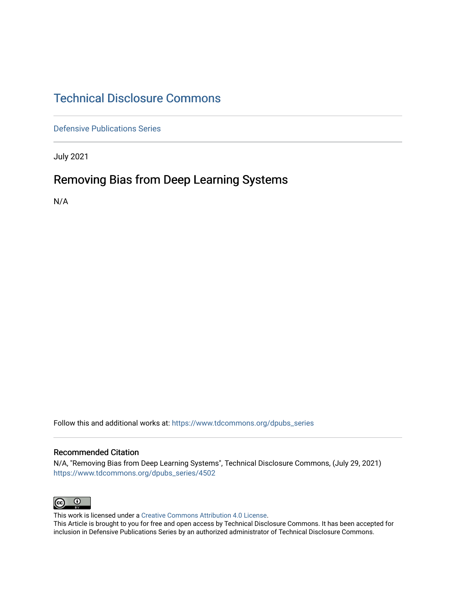## [Technical Disclosure Commons](https://www.tdcommons.org/)

[Defensive Publications Series](https://www.tdcommons.org/dpubs_series)

July 2021

## Removing Bias from Deep Learning Systems

N/A

Follow this and additional works at: [https://www.tdcommons.org/dpubs\\_series](https://www.tdcommons.org/dpubs_series?utm_source=www.tdcommons.org%2Fdpubs_series%2F4502&utm_medium=PDF&utm_campaign=PDFCoverPages) 

#### Recommended Citation

N/A, "Removing Bias from Deep Learning Systems", Technical Disclosure Commons, (July 29, 2021) [https://www.tdcommons.org/dpubs\\_series/4502](https://www.tdcommons.org/dpubs_series/4502?utm_source=www.tdcommons.org%2Fdpubs_series%2F4502&utm_medium=PDF&utm_campaign=PDFCoverPages)



This work is licensed under a [Creative Commons Attribution 4.0 License](http://creativecommons.org/licenses/by/4.0/deed.en_US).

This Article is brought to you for free and open access by Technical Disclosure Commons. It has been accepted for inclusion in Defensive Publications Series by an authorized administrator of Technical Disclosure Commons.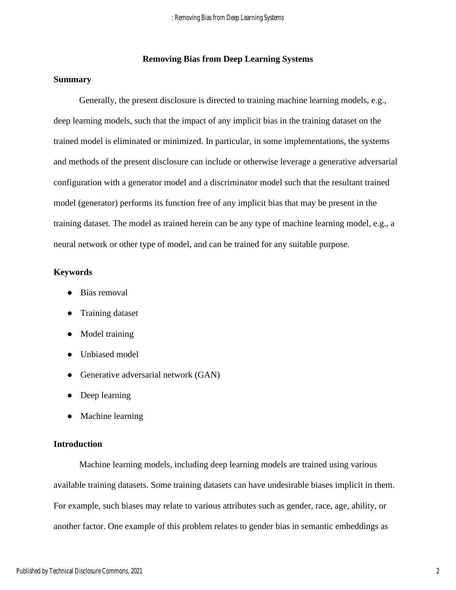#### **Removing Bias from Deep Learning Systems**

#### **Summary**

Generally, the present disclosure is directed to training machine learning models, e.g., deep learning models, such that the impact of any implicit bias in the training dataset on the trained model is eliminated or minimized. In particular, in some implementations, the systems and methods of the present disclosure can include or otherwise leverage a generative adversarial configuration with a generator model and a discriminator model such that the resultant trained model (generator) performs its function free of any implicit bias that may be present in the training dataset. The model as trained herein can be any type of machine learning model, e.g., a neural network or other type of model, and can be trained for any suitable purpose.

#### **Keywords**

- Bias removal
- Training dataset
- Model training
- Unbiased model
- Generative adversarial network (GAN)
- Deep learning
- Machine learning

#### **Introduction**

Machine learning models, including deep learning models are trained using various available training datasets. Some training datasets can have undesirable biases implicit in them. For example, such biases may relate to various attributes such as gender, race, age, ability, or another factor. One example of this problem relates to gender bias in semantic embeddings as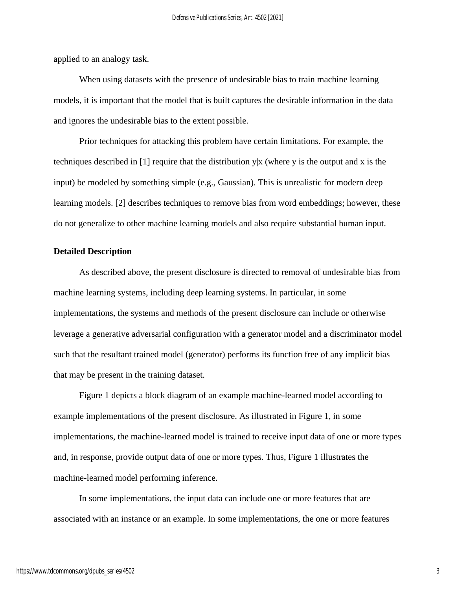applied to an analogy task.

When using datasets with the presence of undesirable bias to train machine learning models, it is important that the model that is built captures the desirable information in the data and ignores the undesirable bias to the extent possible.

Prior techniques for attacking this problem have certain limitations. For example, the techniques described in [1] require that the distribution y|x (where y is the output and x is the input) be modeled by something simple (e.g., Gaussian). This is unrealistic for modern deep learning models. [2] describes techniques to remove bias from word embeddings; however, these do not generalize to other machine learning models and also require substantial human input.

#### **Detailed Description**

As described above, the present disclosure is directed to removal of undesirable bias from machine learning systems, including deep learning systems. In particular, in some implementations, the systems and methods of the present disclosure can include or otherwise leverage a generative adversarial configuration with a generator model and a discriminator model such that the resultant trained model (generator) performs its function free of any implicit bias that may be present in the training dataset.

Figure 1 depicts a block diagram of an example machine-learned model according to example implementations of the present disclosure. As illustrated in Figure 1, in some implementations, the machine-learned model is trained to receive input data of one or more types and, in response, provide output data of one or more types. Thus, Figure 1 illustrates the machine-learned model performing inference.

In some implementations, the input data can include one or more features that are associated with an instance or an example. In some implementations, the one or more features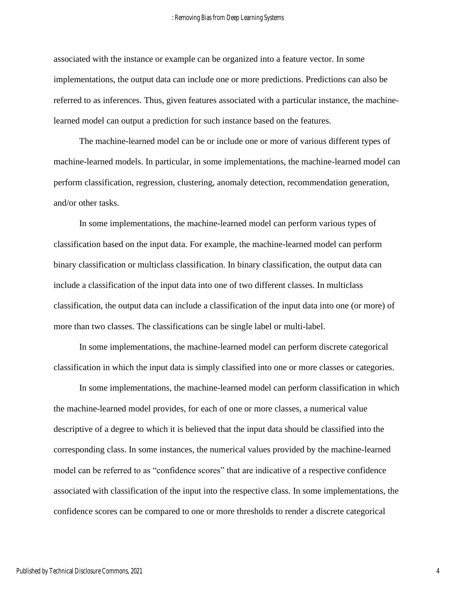associated with the instance or example can be organized into a feature vector. In some implementations, the output data can include one or more predictions. Predictions can also be referred to as inferences. Thus, given features associated with a particular instance, the machinelearned model can output a prediction for such instance based on the features.

The machine-learned model can be or include one or more of various different types of machine-learned models. In particular, in some implementations, the machine-learned model can perform classification, regression, clustering, anomaly detection, recommendation generation, and/or other tasks.

In some implementations, the machine-learned model can perform various types of classification based on the input data. For example, the machine-learned model can perform binary classification or multiclass classification. In binary classification, the output data can include a classification of the input data into one of two different classes. In multiclass classification, the output data can include a classification of the input data into one (or more) of more than two classes. The classifications can be single label or multi-label.

In some implementations, the machine-learned model can perform discrete categorical classification in which the input data is simply classified into one or more classes or categories.

In some implementations, the machine-learned model can perform classification in which the machine-learned model provides, for each of one or more classes, a numerical value descriptive of a degree to which it is believed that the input data should be classified into the corresponding class. In some instances, the numerical values provided by the machine-learned model can be referred to as "confidence scores" that are indicative of a respective confidence associated with classification of the input into the respective class. In some implementations, the confidence scores can be compared to one or more thresholds to render a discrete categorical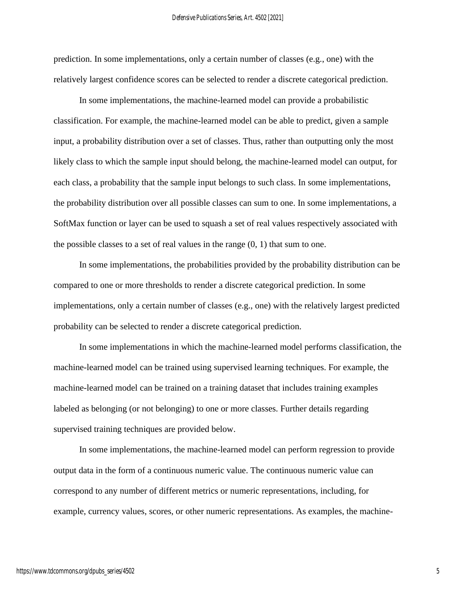prediction. In some implementations, only a certain number of classes (e.g., one) with the relatively largest confidence scores can be selected to render a discrete categorical prediction.

In some implementations, the machine-learned model can provide a probabilistic classification. For example, the machine-learned model can be able to predict, given a sample input, a probability distribution over a set of classes. Thus, rather than outputting only the most likely class to which the sample input should belong, the machine-learned model can output, for each class, a probability that the sample input belongs to such class. In some implementations, the probability distribution over all possible classes can sum to one. In some implementations, a SoftMax function or layer can be used to squash a set of real values respectively associated with the possible classes to a set of real values in the range  $(0, 1)$  that sum to one.

In some implementations, the probabilities provided by the probability distribution can be compared to one or more thresholds to render a discrete categorical prediction. In some implementations, only a certain number of classes (e.g., one) with the relatively largest predicted probability can be selected to render a discrete categorical prediction.

In some implementations in which the machine-learned model performs classification, the machine-learned model can be trained using supervised learning techniques. For example, the machine-learned model can be trained on a training dataset that includes training examples labeled as belonging (or not belonging) to one or more classes. Further details regarding supervised training techniques are provided below.

In some implementations, the machine-learned model can perform regression to provide output data in the form of a continuous numeric value. The continuous numeric value can correspond to any number of different metrics or numeric representations, including, for example, currency values, scores, or other numeric representations. As examples, the machine-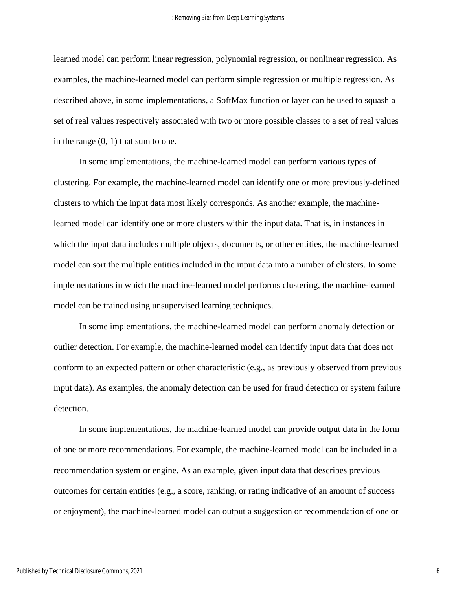learned model can perform linear regression, polynomial regression, or nonlinear regression. As examples, the machine-learned model can perform simple regression or multiple regression. As described above, in some implementations, a SoftMax function or layer can be used to squash a set of real values respectively associated with two or more possible classes to a set of real values in the range (0, 1) that sum to one.

In some implementations, the machine-learned model can perform various types of clustering. For example, the machine-learned model can identify one or more previously-defined clusters to which the input data most likely corresponds. As another example, the machinelearned model can identify one or more clusters within the input data. That is, in instances in which the input data includes multiple objects, documents, or other entities, the machine-learned model can sort the multiple entities included in the input data into a number of clusters. In some implementations in which the machine-learned model performs clustering, the machine-learned model can be trained using unsupervised learning techniques.

In some implementations, the machine-learned model can perform anomaly detection or outlier detection. For example, the machine-learned model can identify input data that does not conform to an expected pattern or other characteristic (e.g., as previously observed from previous input data). As examples, the anomaly detection can be used for fraud detection or system failure detection.

In some implementations, the machine-learned model can provide output data in the form of one or more recommendations. For example, the machine-learned model can be included in a recommendation system or engine. As an example, given input data that describes previous outcomes for certain entities (e.g., a score, ranking, or rating indicative of an amount of success or enjoyment), the machine-learned model can output a suggestion or recommendation of one or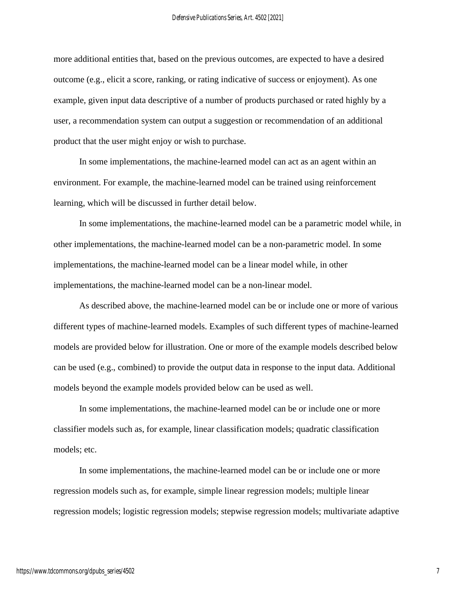more additional entities that, based on the previous outcomes, are expected to have a desired outcome (e.g., elicit a score, ranking, or rating indicative of success or enjoyment). As one example, given input data descriptive of a number of products purchased or rated highly by a user, a recommendation system can output a suggestion or recommendation of an additional product that the user might enjoy or wish to purchase.

In some implementations, the machine-learned model can act as an agent within an environment. For example, the machine-learned model can be trained using reinforcement learning, which will be discussed in further detail below.

In some implementations, the machine-learned model can be a parametric model while, in other implementations, the machine-learned model can be a non-parametric model. In some implementations, the machine-learned model can be a linear model while, in other implementations, the machine-learned model can be a non-linear model.

As described above, the machine-learned model can be or include one or more of various different types of machine-learned models. Examples of such different types of machine-learned models are provided below for illustration. One or more of the example models described below can be used (e.g., combined) to provide the output data in response to the input data. Additional models beyond the example models provided below can be used as well.

In some implementations, the machine-learned model can be or include one or more classifier models such as, for example, linear classification models; quadratic classification models; etc.

In some implementations, the machine-learned model can be or include one or more regression models such as, for example, simple linear regression models; multiple linear regression models; logistic regression models; stepwise regression models; multivariate adaptive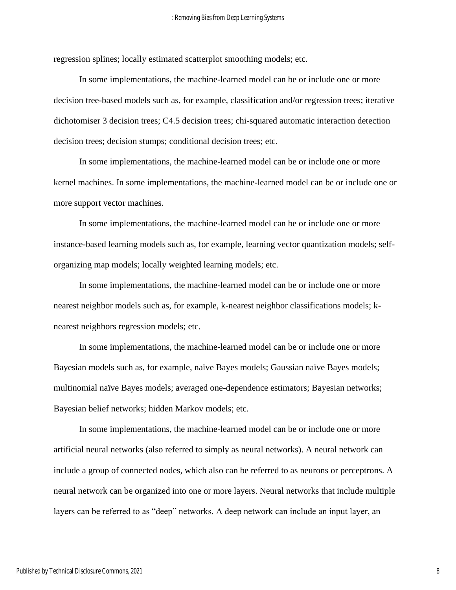regression splines; locally estimated scatterplot smoothing models; etc.

In some implementations, the machine-learned model can be or include one or more decision tree-based models such as, for example, classification and/or regression trees; iterative dichotomiser 3 decision trees; C4.5 decision trees; chi-squared automatic interaction detection decision trees; decision stumps; conditional decision trees; etc.

In some implementations, the machine-learned model can be or include one or more kernel machines. In some implementations, the machine-learned model can be or include one or more support vector machines.

In some implementations, the machine-learned model can be or include one or more instance-based learning models such as, for example, learning vector quantization models; selforganizing map models; locally weighted learning models; etc.

In some implementations, the machine-learned model can be or include one or more nearest neighbor models such as, for example, k-nearest neighbor classifications models; knearest neighbors regression models; etc.

In some implementations, the machine-learned model can be or include one or more Bayesian models such as, for example, naïve Bayes models; Gaussian naïve Bayes models; multinomial naïve Bayes models; averaged one-dependence estimators; Bayesian networks; Bayesian belief networks; hidden Markov models; etc.

In some implementations, the machine-learned model can be or include one or more artificial neural networks (also referred to simply as neural networks). A neural network can include a group of connected nodes, which also can be referred to as neurons or perceptrons. A neural network can be organized into one or more layers. Neural networks that include multiple layers can be referred to as "deep" networks. A deep network can include an input layer, an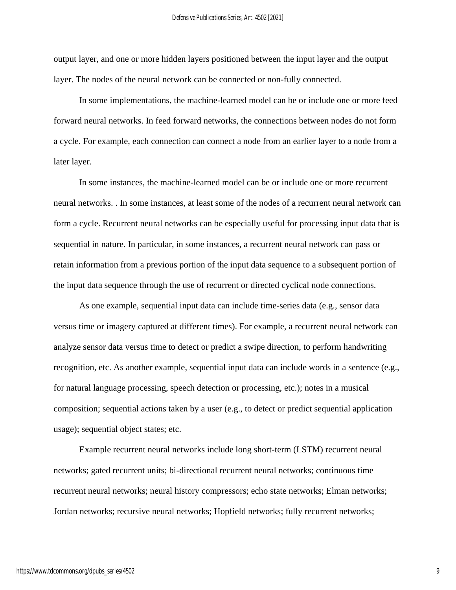output layer, and one or more hidden layers positioned between the input layer and the output layer. The nodes of the neural network can be connected or non-fully connected.

In some implementations, the machine-learned model can be or include one or more feed forward neural networks. In feed forward networks, the connections between nodes do not form a cycle. For example, each connection can connect a node from an earlier layer to a node from a later layer.

In some instances, the machine-learned model can be or include one or more recurrent neural networks. . In some instances, at least some of the nodes of a recurrent neural network can form a cycle. Recurrent neural networks can be especially useful for processing input data that is sequential in nature. In particular, in some instances, a recurrent neural network can pass or retain information from a previous portion of the input data sequence to a subsequent portion of the input data sequence through the use of recurrent or directed cyclical node connections.

As one example, sequential input data can include time-series data (e.g., sensor data versus time or imagery captured at different times). For example, a recurrent neural network can analyze sensor data versus time to detect or predict a swipe direction, to perform handwriting recognition, etc. As another example, sequential input data can include words in a sentence (e.g., for natural language processing, speech detection or processing, etc.); notes in a musical composition; sequential actions taken by a user (e.g., to detect or predict sequential application usage); sequential object states; etc.

Example recurrent neural networks include long short-term (LSTM) recurrent neural networks; gated recurrent units; bi-directional recurrent neural networks; continuous time recurrent neural networks; neural history compressors; echo state networks; Elman networks; Jordan networks; recursive neural networks; Hopfield networks; fully recurrent networks;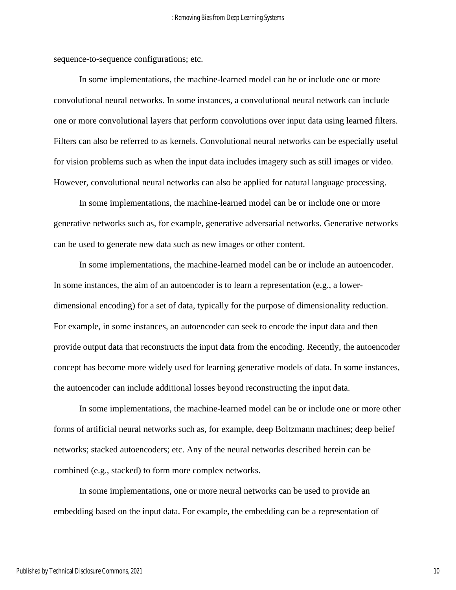sequence-to-sequence configurations; etc.

In some implementations, the machine-learned model can be or include one or more convolutional neural networks. In some instances, a convolutional neural network can include one or more convolutional layers that perform convolutions over input data using learned filters. Filters can also be referred to as kernels. Convolutional neural networks can be especially useful for vision problems such as when the input data includes imagery such as still images or video. However, convolutional neural networks can also be applied for natural language processing.

In some implementations, the machine-learned model can be or include one or more generative networks such as, for example, generative adversarial networks. Generative networks can be used to generate new data such as new images or other content.

In some implementations, the machine-learned model can be or include an autoencoder. In some instances, the aim of an autoencoder is to learn a representation (e.g., a lowerdimensional encoding) for a set of data, typically for the purpose of dimensionality reduction. For example, in some instances, an autoencoder can seek to encode the input data and then provide output data that reconstructs the input data from the encoding. Recently, the autoencoder concept has become more widely used for learning generative models of data. In some instances, the autoencoder can include additional losses beyond reconstructing the input data.

In some implementations, the machine-learned model can be or include one or more other forms of artificial neural networks such as, for example, deep Boltzmann machines; deep belief networks; stacked autoencoders; etc. Any of the neural networks described herein can be combined (e.g., stacked) to form more complex networks.

In some implementations, one or more neural networks can be used to provide an embedding based on the input data. For example, the embedding can be a representation of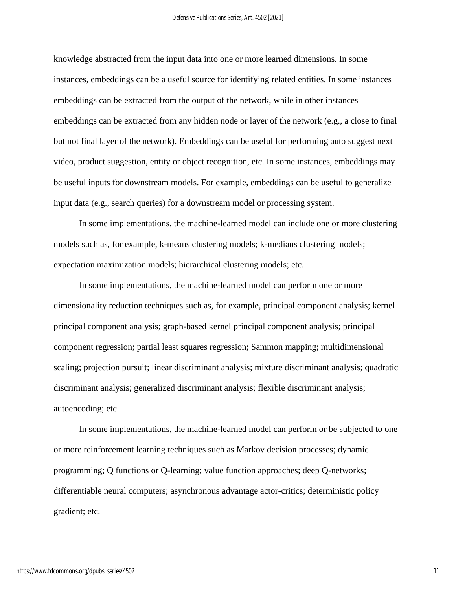knowledge abstracted from the input data into one or more learned dimensions. In some instances, embeddings can be a useful source for identifying related entities. In some instances embeddings can be extracted from the output of the network, while in other instances embeddings can be extracted from any hidden node or layer of the network (e.g., a close to final but not final layer of the network). Embeddings can be useful for performing auto suggest next video, product suggestion, entity or object recognition, etc. In some instances, embeddings may be useful inputs for downstream models. For example, embeddings can be useful to generalize input data (e.g., search queries) for a downstream model or processing system.

In some implementations, the machine-learned model can include one or more clustering models such as, for example, k-means clustering models; k-medians clustering models; expectation maximization models; hierarchical clustering models; etc.

In some implementations, the machine-learned model can perform one or more dimensionality reduction techniques such as, for example, principal component analysis; kernel principal component analysis; graph-based kernel principal component analysis; principal component regression; partial least squares regression; Sammon mapping; multidimensional scaling; projection pursuit; linear discriminant analysis; mixture discriminant analysis; quadratic discriminant analysis; generalized discriminant analysis; flexible discriminant analysis; autoencoding; etc.

In some implementations, the machine-learned model can perform or be subjected to one or more reinforcement learning techniques such as Markov decision processes; dynamic programming; Q functions or Q-learning; value function approaches; deep Q-networks; differentiable neural computers; asynchronous advantage actor-critics; deterministic policy gradient; etc.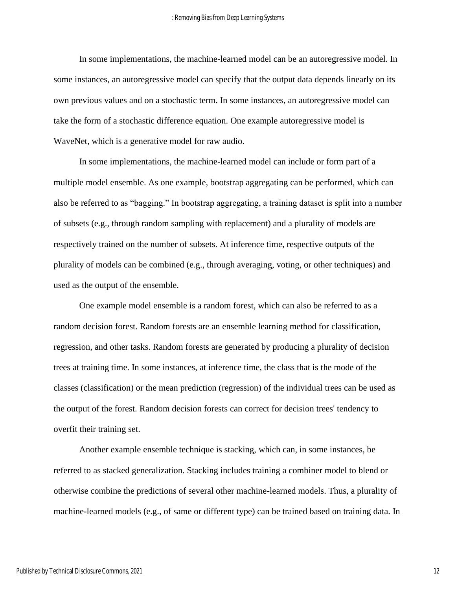In some implementations, the machine-learned model can be an autoregressive model. In some instances, an autoregressive model can specify that the output data depends linearly on its own previous values and on a stochastic term. In some instances, an autoregressive model can take the form of a stochastic difference equation. One example autoregressive model is WaveNet, which is a generative model for raw audio.

In some implementations, the machine-learned model can include or form part of a multiple model ensemble. As one example, bootstrap aggregating can be performed, which can also be referred to as "bagging." In bootstrap aggregating, a training dataset is split into a number of subsets (e.g., through random sampling with replacement) and a plurality of models are respectively trained on the number of subsets. At inference time, respective outputs of the plurality of models can be combined (e.g., through averaging, voting, or other techniques) and used as the output of the ensemble.

One example model ensemble is a random forest, which can also be referred to as a random decision forest. Random forests are an ensemble learning method for classification, regression, and other tasks. Random forests are generated by producing a plurality of decision trees at training time. In some instances, at inference time, the class that is the mode of the classes (classification) or the mean prediction (regression) of the individual trees can be used as the output of the forest. Random decision forests can correct for decision trees' tendency to overfit their training set.

Another example ensemble technique is stacking, which can, in some instances, be referred to as stacked generalization. Stacking includes training a combiner model to blend or otherwise combine the predictions of several other machine-learned models. Thus, a plurality of machine-learned models (e.g., of same or different type) can be trained based on training data. In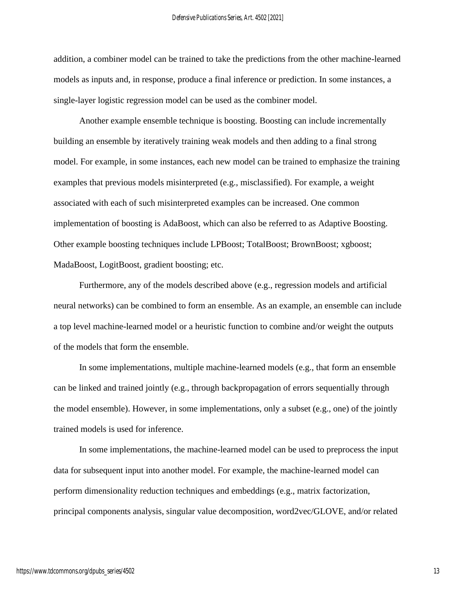addition, a combiner model can be trained to take the predictions from the other machine-learned models as inputs and, in response, produce a final inference or prediction. In some instances, a single-layer logistic regression model can be used as the combiner model.

Another example ensemble technique is boosting. Boosting can include incrementally building an ensemble by iteratively training weak models and then adding to a final strong model. For example, in some instances, each new model can be trained to emphasize the training examples that previous models misinterpreted (e.g., misclassified). For example, a weight associated with each of such misinterpreted examples can be increased. One common implementation of boosting is AdaBoost, which can also be referred to as Adaptive Boosting. Other example boosting techniques include LPBoost; TotalBoost; BrownBoost; xgboost; MadaBoost, LogitBoost, gradient boosting; etc.

Furthermore, any of the models described above (e.g., regression models and artificial neural networks) can be combined to form an ensemble. As an example, an ensemble can include a top level machine-learned model or a heuristic function to combine and/or weight the outputs of the models that form the ensemble.

In some implementations, multiple machine-learned models (e.g., that form an ensemble can be linked and trained jointly (e.g., through backpropagation of errors sequentially through the model ensemble). However, in some implementations, only a subset (e.g., one) of the jointly trained models is used for inference.

In some implementations, the machine-learned model can be used to preprocess the input data for subsequent input into another model. For example, the machine-learned model can perform dimensionality reduction techniques and embeddings (e.g., matrix factorization, principal components analysis, singular value decomposition, word2vec/GLOVE, and/or related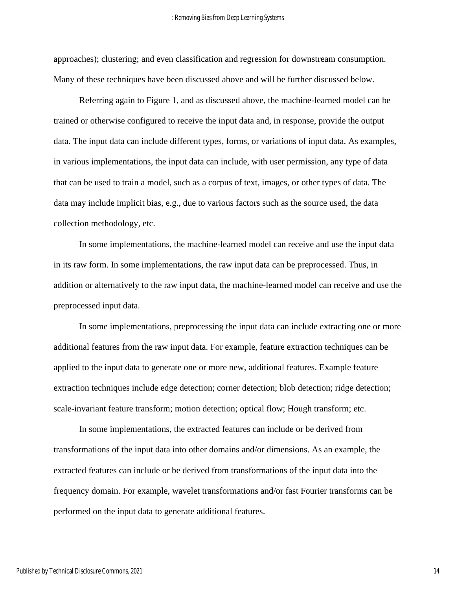approaches); clustering; and even classification and regression for downstream consumption. Many of these techniques have been discussed above and will be further discussed below.

Referring again to Figure 1, and as discussed above, the machine-learned model can be trained or otherwise configured to receive the input data and, in response, provide the output data. The input data can include different types, forms, or variations of input data. As examples, in various implementations, the input data can include, with user permission, any type of data that can be used to train a model, such as a corpus of text, images, or other types of data. The data may include implicit bias, e.g., due to various factors such as the source used, the data collection methodology, etc.

In some implementations, the machine-learned model can receive and use the input data in its raw form. In some implementations, the raw input data can be preprocessed. Thus, in addition or alternatively to the raw input data, the machine-learned model can receive and use the preprocessed input data.

In some implementations, preprocessing the input data can include extracting one or more additional features from the raw input data. For example, feature extraction techniques can be applied to the input data to generate one or more new, additional features. Example feature extraction techniques include edge detection; corner detection; blob detection; ridge detection; scale-invariant feature transform; motion detection; optical flow; Hough transform; etc.

In some implementations, the extracted features can include or be derived from transformations of the input data into other domains and/or dimensions. As an example, the extracted features can include or be derived from transformations of the input data into the frequency domain. For example, wavelet transformations and/or fast Fourier transforms can be performed on the input data to generate additional features.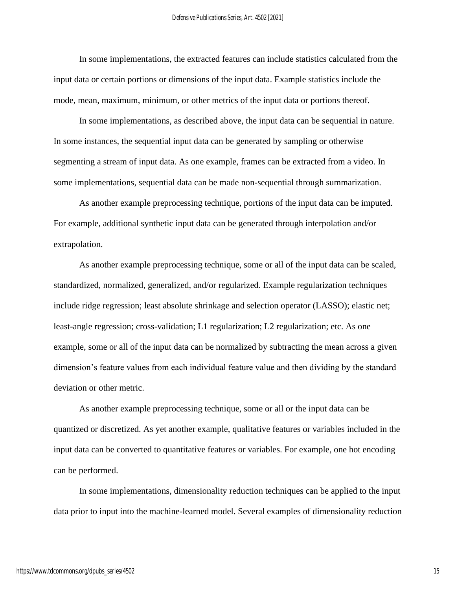In some implementations, the extracted features can include statistics calculated from the input data or certain portions or dimensions of the input data. Example statistics include the mode, mean, maximum, minimum, or other metrics of the input data or portions thereof.

In some implementations, as described above, the input data can be sequential in nature. In some instances, the sequential input data can be generated by sampling or otherwise segmenting a stream of input data. As one example, frames can be extracted from a video. In some implementations, sequential data can be made non-sequential through summarization.

As another example preprocessing technique, portions of the input data can be imputed. For example, additional synthetic input data can be generated through interpolation and/or extrapolation.

As another example preprocessing technique, some or all of the input data can be scaled, standardized, normalized, generalized, and/or regularized. Example regularization techniques include ridge regression; least absolute shrinkage and selection operator (LASSO); elastic net; least-angle regression; cross-validation; L1 regularization; L2 regularization; etc. As one example, some or all of the input data can be normalized by subtracting the mean across a given dimension's feature values from each individual feature value and then dividing by the standard deviation or other metric.

As another example preprocessing technique, some or all or the input data can be quantized or discretized. As yet another example, qualitative features or variables included in the input data can be converted to quantitative features or variables. For example, one hot encoding can be performed.

In some implementations, dimensionality reduction techniques can be applied to the input data prior to input into the machine-learned model. Several examples of dimensionality reduction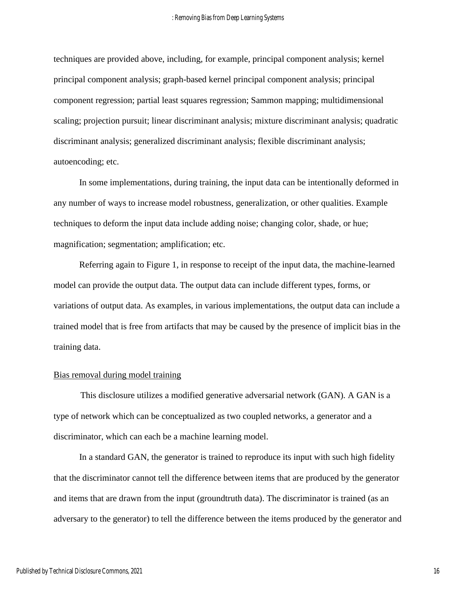techniques are provided above, including, for example, principal component analysis; kernel principal component analysis; graph-based kernel principal component analysis; principal component regression; partial least squares regression; Sammon mapping; multidimensional scaling; projection pursuit; linear discriminant analysis; mixture discriminant analysis; quadratic discriminant analysis; generalized discriminant analysis; flexible discriminant analysis; autoencoding; etc.

In some implementations, during training, the input data can be intentionally deformed in any number of ways to increase model robustness, generalization, or other qualities. Example techniques to deform the input data include adding noise; changing color, shade, or hue; magnification; segmentation; amplification; etc.

Referring again to Figure 1, in response to receipt of the input data, the machine-learned model can provide the output data. The output data can include different types, forms, or variations of output data. As examples, in various implementations, the output data can include a trained model that is free from artifacts that may be caused by the presence of implicit bias in the training data.

#### Bias removal during model training

This disclosure utilizes a modified generative adversarial network (GAN). A GAN is a type of network which can be conceptualized as two coupled networks, a generator and a discriminator, which can each be a machine learning model.

In a standard GAN, the generator is trained to reproduce its input with such high fidelity that the discriminator cannot tell the difference between items that are produced by the generator and items that are drawn from the input (groundtruth data). The discriminator is trained (as an adversary to the generator) to tell the difference between the items produced by the generator and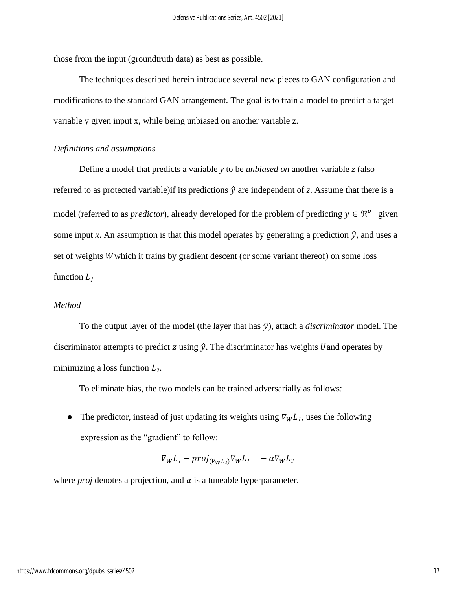those from the input (groundtruth data) as best as possible.

The techniques described herein introduce several new pieces to GAN configuration and modifications to the standard GAN arrangement. The goal is to train a model to predict a target variable y given input x, while being unbiased on another variable z.

#### *Definitions and assumptions*

Define a model that predicts a variable *y* to be *unbiased on* another variable *z* (also referred to as protected variable) if its predictions  $\hat{y}$  are independent of *z*. Assume that there is a model (referred to as *predictor*), already developed for the problem of predicting  $y \in \mathbb{R}^p$  given some input *x*. An assumption is that this model operates by generating a prediction  $\hat{y}$ , and uses a set of weights *W* which it trains by gradient descent (or some variant thereof) on some loss function  $L_1$ 

#### *Method*

To the output layer of the model (the layer that has  $\hat{y}$ ), attach a *discriminator* model. The discriminator attempts to predict z using  $\hat{y}$ . The discriminator has weights U and operates by minimizing a loss function  $L_2$ .

To eliminate bias, the two models can be trained adversarially as follows:

• The predictor, instead of just updating its weights using  $\nabla_W L_l$ , uses the following expression as the "gradient" to follow:

$$
\nabla_W L_1 - \text{proj}_{(\nabla_W L_2)} \nabla_W L_1 - \alpha \nabla_W L_2
$$

where *proj* denotes a projection, and  $\alpha$  is a tuneable hyperparameter.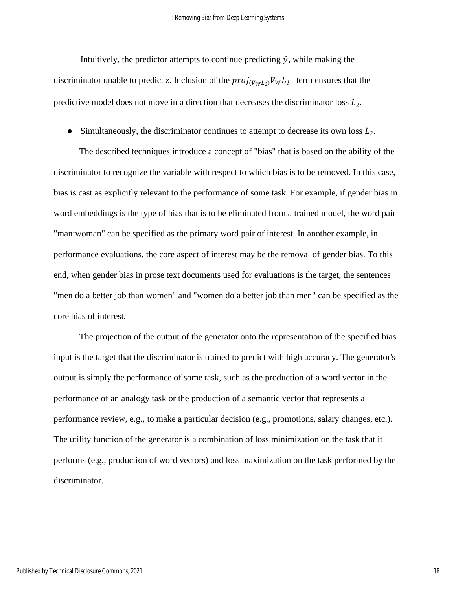Intuitively, the predictor attempts to continue predicting  $\hat{y}$ , while making the discriminator unable to predict *z*. Inclusion of the  $proj_{(\nabla_W L_2)} \nabla_W L_1$  term ensures that the predictive model does not move in a direction that decreases the discriminator loss *<sup>2</sup>* .

• Simultaneously, the discriminator continues to attempt to decrease its own loss  $L_2$ .

The described techniques introduce a concept of "bias" that is based on the ability of the discriminator to recognize the variable with respect to which bias is to be removed. In this case, bias is cast as explicitly relevant to the performance of some task. For example, if gender bias in word embeddings is the type of bias that is to be eliminated from a trained model, the word pair "man:woman" can be specified as the primary word pair of interest. In another example, in performance evaluations, the core aspect of interest may be the removal of gender bias. To this end, when gender bias in prose text documents used for evaluations is the target, the sentences "men do a better job than women" and "women do a better job than men" can be specified as the core bias of interest.

The projection of the output of the generator onto the representation of the specified bias input is the target that the discriminator is trained to predict with high accuracy. The generator's output is simply the performance of some task, such as the production of a word vector in the performance of an analogy task or the production of a semantic vector that represents a performance review, e.g., to make a particular decision (e.g., promotions, salary changes, etc.). The utility function of the generator is a combination of loss minimization on the task that it performs (e.g., production of word vectors) and loss maximization on the task performed by the discriminator.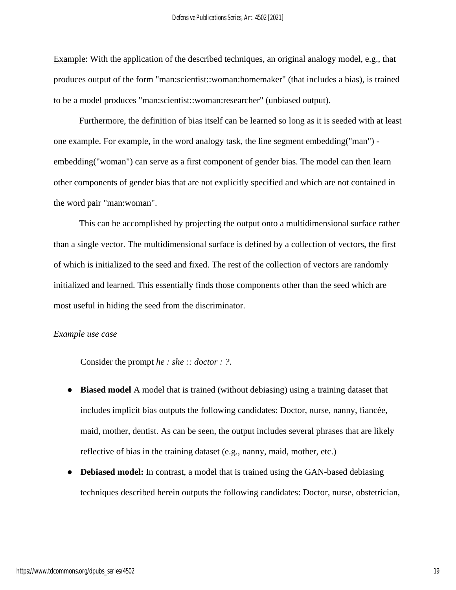Example: With the application of the described techniques, an original analogy model, e.g., that produces output of the form "man:scientist::woman:homemaker" (that includes a bias), is trained to be a model produces "man:scientist::woman:researcher" (unbiased output).

Furthermore, the definition of bias itself can be learned so long as it is seeded with at least one example. For example, in the word analogy task, the line segment embedding("man") embedding("woman") can serve as a first component of gender bias. The model can then learn other components of gender bias that are not explicitly specified and which are not contained in the word pair "man:woman".

This can be accomplished by projecting the output onto a multidimensional surface rather than a single vector. The multidimensional surface is defined by a collection of vectors, the first of which is initialized to the seed and fixed. The rest of the collection of vectors are randomly initialized and learned. This essentially finds those components other than the seed which are most useful in hiding the seed from the discriminator.

#### *Example use case*

Consider the prompt *he : she :: doctor : ?*.

- **Biased model** A model that is trained (without debiasing) using a training dataset that includes implicit bias outputs the following candidates: Doctor, nurse, nanny, fiancée, maid, mother, dentist. As can be seen, the output includes several phrases that are likely reflective of bias in the training dataset (e.g., nanny, maid, mother, etc.)
- **Debiased model:** In contrast, a model that is trained using the GAN-based debiasing techniques described herein outputs the following candidates: Doctor, nurse, obstetrician,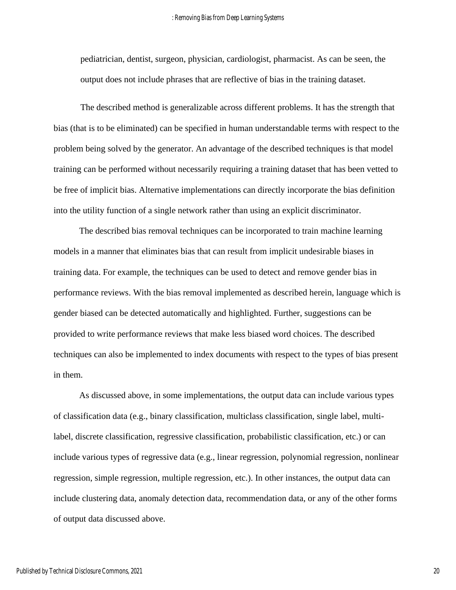pediatrician, dentist, surgeon, physician, cardiologist, pharmacist. As can be seen, the output does not include phrases that are reflective of bias in the training dataset.

The described method is generalizable across different problems. It has the strength that bias (that is to be eliminated) can be specified in human understandable terms with respect to the problem being solved by the generator. An advantage of the described techniques is that model training can be performed without necessarily requiring a training dataset that has been vetted to be free of implicit bias. Alternative implementations can directly incorporate the bias definition into the utility function of a single network rather than using an explicit discriminator.

The described bias removal techniques can be incorporated to train machine learning models in a manner that eliminates bias that can result from implicit undesirable biases in training data. For example, the techniques can be used to detect and remove gender bias in performance reviews. With the bias removal implemented as described herein, language which is gender biased can be detected automatically and highlighted. Further, suggestions can be provided to write performance reviews that make less biased word choices. The described techniques can also be implemented to index documents with respect to the types of bias present in them.

As discussed above, in some implementations, the output data can include various types of classification data (e.g., binary classification, multiclass classification, single label, multilabel, discrete classification, regressive classification, probabilistic classification, etc.) or can include various types of regressive data (e.g., linear regression, polynomial regression, nonlinear regression, simple regression, multiple regression, etc.). In other instances, the output data can include clustering data, anomaly detection data, recommendation data, or any of the other forms of output data discussed above.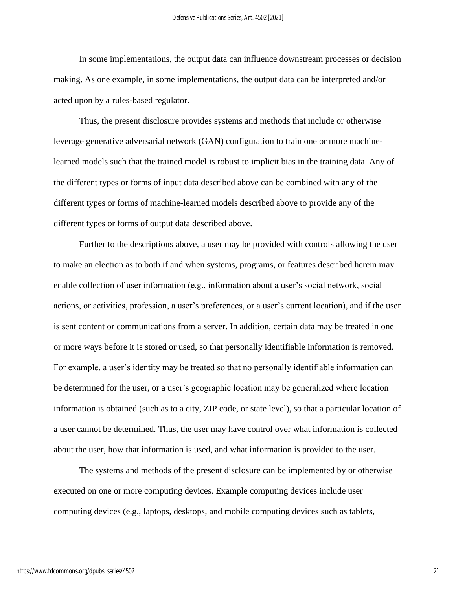In some implementations, the output data can influence downstream processes or decision making. As one example, in some implementations, the output data can be interpreted and/or acted upon by a rules-based regulator.

Thus, the present disclosure provides systems and methods that include or otherwise leverage generative adversarial network (GAN) configuration to train one or more machinelearned models such that the trained model is robust to implicit bias in the training data. Any of the different types or forms of input data described above can be combined with any of the different types or forms of machine-learned models described above to provide any of the different types or forms of output data described above.

Further to the descriptions above, a user may be provided with controls allowing the user to make an election as to both if and when systems, programs, or features described herein may enable collection of user information (e.g., information about a user's social network, social actions, or activities, profession, a user's preferences, or a user's current location), and if the user is sent content or communications from a server. In addition, certain data may be treated in one or more ways before it is stored or used, so that personally identifiable information is removed. For example, a user's identity may be treated so that no personally identifiable information can be determined for the user, or a user's geographic location may be generalized where location information is obtained (such as to a city, ZIP code, or state level), so that a particular location of a user cannot be determined. Thus, the user may have control over what information is collected about the user, how that information is used, and what information is provided to the user.

The systems and methods of the present disclosure can be implemented by or otherwise executed on one or more computing devices. Example computing devices include user computing devices (e.g., laptops, desktops, and mobile computing devices such as tablets,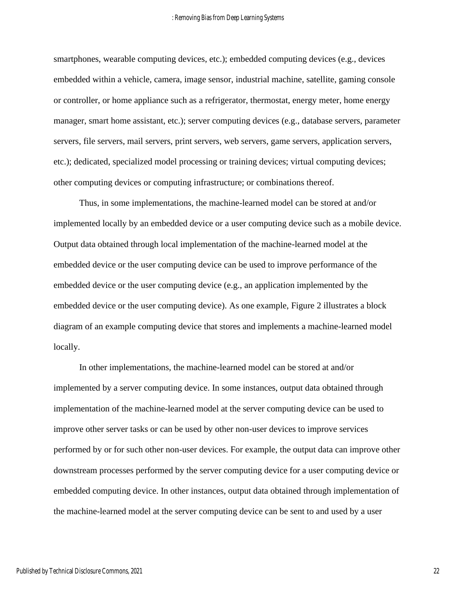smartphones, wearable computing devices, etc.); embedded computing devices (e.g., devices embedded within a vehicle, camera, image sensor, industrial machine, satellite, gaming console or controller, or home appliance such as a refrigerator, thermostat, energy meter, home energy manager, smart home assistant, etc.); server computing devices (e.g., database servers, parameter servers, file servers, mail servers, print servers, web servers, game servers, application servers, etc.); dedicated, specialized model processing or training devices; virtual computing devices; other computing devices or computing infrastructure; or combinations thereof.

Thus, in some implementations, the machine-learned model can be stored at and/or implemented locally by an embedded device or a user computing device such as a mobile device. Output data obtained through local implementation of the machine-learned model at the embedded device or the user computing device can be used to improve performance of the embedded device or the user computing device (e.g., an application implemented by the embedded device or the user computing device). As one example, Figure 2 illustrates a block diagram of an example computing device that stores and implements a machine-learned model locally.

In other implementations, the machine-learned model can be stored at and/or implemented by a server computing device. In some instances, output data obtained through implementation of the machine-learned model at the server computing device can be used to improve other server tasks or can be used by other non-user devices to improve services performed by or for such other non-user devices. For example, the output data can improve other downstream processes performed by the server computing device for a user computing device or embedded computing device. In other instances, output data obtained through implementation of the machine-learned model at the server computing device can be sent to and used by a user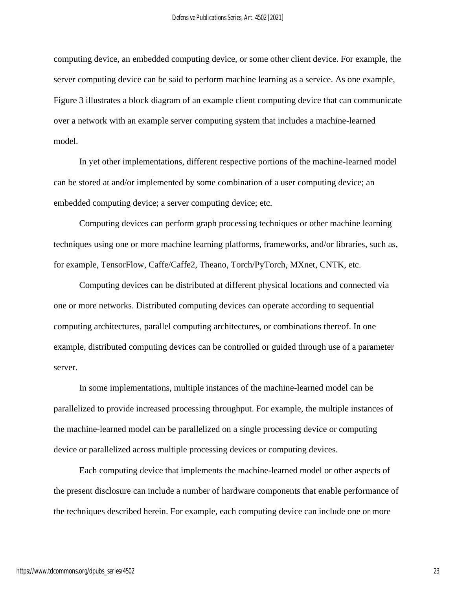computing device, an embedded computing device, or some other client device. For example, the server computing device can be said to perform machine learning as a service. As one example, Figure 3 illustrates a block diagram of an example client computing device that can communicate over a network with an example server computing system that includes a machine-learned model.

In yet other implementations, different respective portions of the machine-learned model can be stored at and/or implemented by some combination of a user computing device; an embedded computing device; a server computing device; etc.

Computing devices can perform graph processing techniques or other machine learning techniques using one or more machine learning platforms, frameworks, and/or libraries, such as, for example, TensorFlow, Caffe/Caffe2, Theano, Torch/PyTorch, MXnet, CNTK, etc.

Computing devices can be distributed at different physical locations and connected via one or more networks. Distributed computing devices can operate according to sequential computing architectures, parallel computing architectures, or combinations thereof. In one example, distributed computing devices can be controlled or guided through use of a parameter server.

In some implementations, multiple instances of the machine-learned model can be parallelized to provide increased processing throughput. For example, the multiple instances of the machine-learned model can be parallelized on a single processing device or computing device or parallelized across multiple processing devices or computing devices.

Each computing device that implements the machine-learned model or other aspects of the present disclosure can include a number of hardware components that enable performance of the techniques described herein. For example, each computing device can include one or more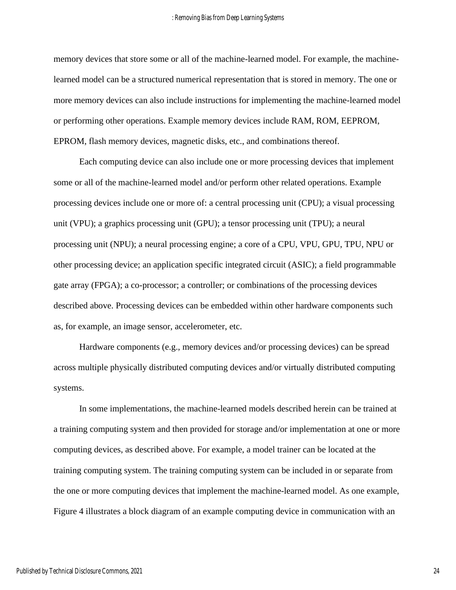memory devices that store some or all of the machine-learned model. For example, the machinelearned model can be a structured numerical representation that is stored in memory. The one or more memory devices can also include instructions for implementing the machine-learned model or performing other operations. Example memory devices include RAM, ROM, EEPROM, EPROM, flash memory devices, magnetic disks, etc., and combinations thereof.

Each computing device can also include one or more processing devices that implement some or all of the machine-learned model and/or perform other related operations. Example processing devices include one or more of: a central processing unit (CPU); a visual processing unit (VPU); a graphics processing unit (GPU); a tensor processing unit (TPU); a neural processing unit (NPU); a neural processing engine; a core of a CPU, VPU, GPU, TPU, NPU or other processing device; an application specific integrated circuit (ASIC); a field programmable gate array (FPGA); a co-processor; a controller; or combinations of the processing devices described above. Processing devices can be embedded within other hardware components such as, for example, an image sensor, accelerometer, etc.

Hardware components (e.g., memory devices and/or processing devices) can be spread across multiple physically distributed computing devices and/or virtually distributed computing systems.

In some implementations, the machine-learned models described herein can be trained at a training computing system and then provided for storage and/or implementation at one or more computing devices, as described above. For example, a model trainer can be located at the training computing system. The training computing system can be included in or separate from the one or more computing devices that implement the machine-learned model. As one example, Figure 4 illustrates a block diagram of an example computing device in communication with an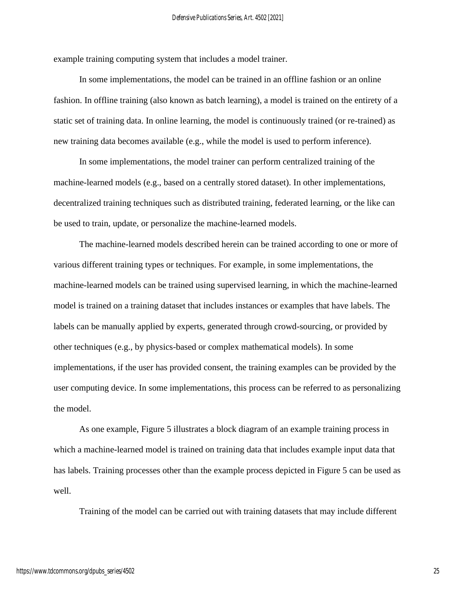example training computing system that includes a model trainer.

In some implementations, the model can be trained in an offline fashion or an online fashion. In offline training (also known as batch learning), a model is trained on the entirety of a static set of training data. In online learning, the model is continuously trained (or re-trained) as new training data becomes available (e.g., while the model is used to perform inference).

In some implementations, the model trainer can perform centralized training of the machine-learned models (e.g., based on a centrally stored dataset). In other implementations, decentralized training techniques such as distributed training, federated learning, or the like can be used to train, update, or personalize the machine-learned models.

The machine-learned models described herein can be trained according to one or more of various different training types or techniques. For example, in some implementations, the machine-learned models can be trained using supervised learning, in which the machine-learned model is trained on a training dataset that includes instances or examples that have labels. The labels can be manually applied by experts, generated through crowd-sourcing, or provided by other techniques (e.g., by physics-based or complex mathematical models). In some implementations, if the user has provided consent, the training examples can be provided by the user computing device. In some implementations, this process can be referred to as personalizing the model.

As one example, Figure 5 illustrates a block diagram of an example training process in which a machine-learned model is trained on training data that includes example input data that has labels. Training processes other than the example process depicted in Figure 5 can be used as well.

Training of the model can be carried out with training datasets that may include different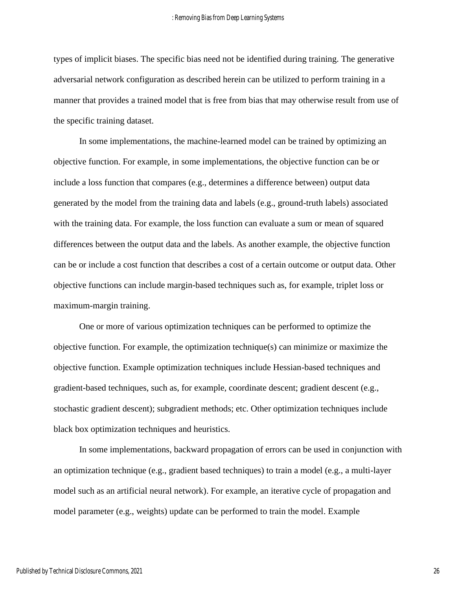types of implicit biases. The specific bias need not be identified during training. The generative adversarial network configuration as described herein can be utilized to perform training in a manner that provides a trained model that is free from bias that may otherwise result from use of the specific training dataset.

In some implementations, the machine-learned model can be trained by optimizing an objective function. For example, in some implementations, the objective function can be or include a loss function that compares (e.g., determines a difference between) output data generated by the model from the training data and labels (e.g., ground-truth labels) associated with the training data. For example, the loss function can evaluate a sum or mean of squared differences between the output data and the labels. As another example, the objective function can be or include a cost function that describes a cost of a certain outcome or output data. Other objective functions can include margin-based techniques such as, for example, triplet loss or maximum-margin training.

One or more of various optimization techniques can be performed to optimize the objective function. For example, the optimization technique(s) can minimize or maximize the objective function. Example optimization techniques include Hessian-based techniques and gradient-based techniques, such as, for example, coordinate descent; gradient descent (e.g., stochastic gradient descent); subgradient methods; etc. Other optimization techniques include black box optimization techniques and heuristics.

In some implementations, backward propagation of errors can be used in conjunction with an optimization technique (e.g., gradient based techniques) to train a model (e.g., a multi-layer model such as an artificial neural network). For example, an iterative cycle of propagation and model parameter (e.g., weights) update can be performed to train the model. Example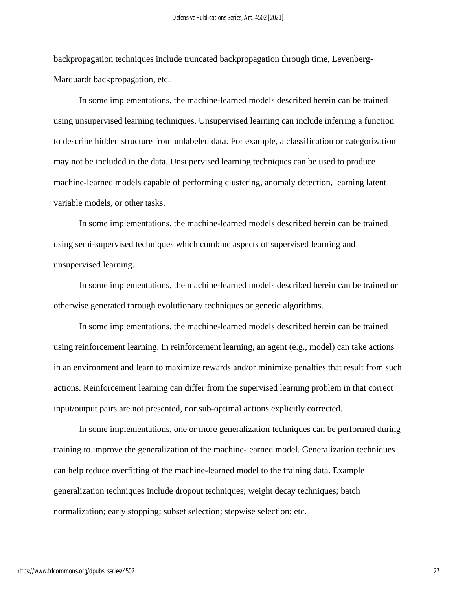backpropagation techniques include truncated backpropagation through time, Levenberg-Marquardt backpropagation, etc.

In some implementations, the machine-learned models described herein can be trained using unsupervised learning techniques. Unsupervised learning can include inferring a function to describe hidden structure from unlabeled data. For example, a classification or categorization may not be included in the data. Unsupervised learning techniques can be used to produce machine-learned models capable of performing clustering, anomaly detection, learning latent variable models, or other tasks.

In some implementations, the machine-learned models described herein can be trained using semi-supervised techniques which combine aspects of supervised learning and unsupervised learning.

In some implementations, the machine-learned models described herein can be trained or otherwise generated through evolutionary techniques or genetic algorithms.

In some implementations, the machine-learned models described herein can be trained using reinforcement learning. In reinforcement learning, an agent (e.g., model) can take actions in an environment and learn to maximize rewards and/or minimize penalties that result from such actions. Reinforcement learning can differ from the supervised learning problem in that correct input/output pairs are not presented, nor sub-optimal actions explicitly corrected.

In some implementations, one or more generalization techniques can be performed during training to improve the generalization of the machine-learned model. Generalization techniques can help reduce overfitting of the machine-learned model to the training data. Example generalization techniques include dropout techniques; weight decay techniques; batch normalization; early stopping; subset selection; stepwise selection; etc.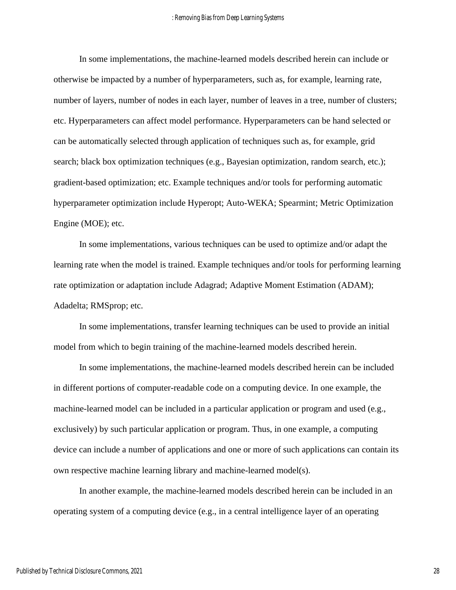In some implementations, the machine-learned models described herein can include or otherwise be impacted by a number of hyperparameters, such as, for example, learning rate, number of layers, number of nodes in each layer, number of leaves in a tree, number of clusters; etc. Hyperparameters can affect model performance. Hyperparameters can be hand selected or can be automatically selected through application of techniques such as, for example, grid search; black box optimization techniques (e.g., Bayesian optimization, random search, etc.); gradient-based optimization; etc. Example techniques and/or tools for performing automatic hyperparameter optimization include Hyperopt; Auto-WEKA; Spearmint; Metric Optimization Engine (MOE); etc.

In some implementations, various techniques can be used to optimize and/or adapt the learning rate when the model is trained. Example techniques and/or tools for performing learning rate optimization or adaptation include Adagrad; Adaptive Moment Estimation (ADAM); Adadelta; RMSprop; etc.

In some implementations, transfer learning techniques can be used to provide an initial model from which to begin training of the machine-learned models described herein.

In some implementations, the machine-learned models described herein can be included in different portions of computer-readable code on a computing device. In one example, the machine-learned model can be included in a particular application or program and used (e.g., exclusively) by such particular application or program. Thus, in one example, a computing device can include a number of applications and one or more of such applications can contain its own respective machine learning library and machine-learned model(s).

In another example, the machine-learned models described herein can be included in an operating system of a computing device (e.g., in a central intelligence layer of an operating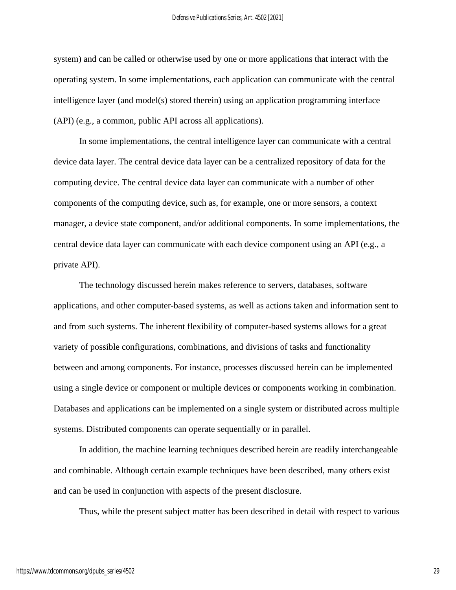system) and can be called or otherwise used by one or more applications that interact with the operating system. In some implementations, each application can communicate with the central intelligence layer (and model(s) stored therein) using an application programming interface (API) (e.g., a common, public API across all applications).

In some implementations, the central intelligence layer can communicate with a central device data layer. The central device data layer can be a centralized repository of data for the computing device. The central device data layer can communicate with a number of other components of the computing device, such as, for example, one or more sensors, a context manager, a device state component, and/or additional components. In some implementations, the central device data layer can communicate with each device component using an API (e.g., a private API).

The technology discussed herein makes reference to servers, databases, software applications, and other computer-based systems, as well as actions taken and information sent to and from such systems. The inherent flexibility of computer-based systems allows for a great variety of possible configurations, combinations, and divisions of tasks and functionality between and among components. For instance, processes discussed herein can be implemented using a single device or component or multiple devices or components working in combination. Databases and applications can be implemented on a single system or distributed across multiple systems. Distributed components can operate sequentially or in parallel.

In addition, the machine learning techniques described herein are readily interchangeable and combinable. Although certain example techniques have been described, many others exist and can be used in conjunction with aspects of the present disclosure.

Thus, while the present subject matter has been described in detail with respect to various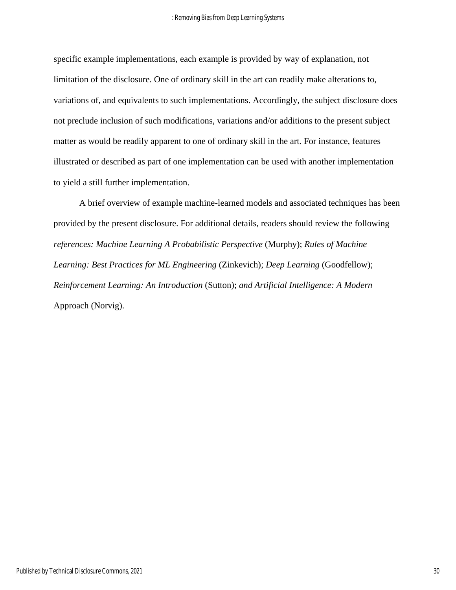specific example implementations, each example is provided by way of explanation, not limitation of the disclosure. One of ordinary skill in the art can readily make alterations to, variations of, and equivalents to such implementations. Accordingly, the subject disclosure does not preclude inclusion of such modifications, variations and/or additions to the present subject matter as would be readily apparent to one of ordinary skill in the art. For instance, features illustrated or described as part of one implementation can be used with another implementation to yield a still further implementation.

A brief overview of example machine-learned models and associated techniques has been provided by the present disclosure. For additional details, readers should review the following *references: Machine Learning A Probabilistic Perspective* (Murphy); *Rules of Machine Learning: Best Practices for ML Engineering* (Zinkevich); *Deep Learning* (Goodfellow); *Reinforcement Learning: An Introduction* (Sutton); *and Artificial Intelligence: A Modern*  Approach (Norvig).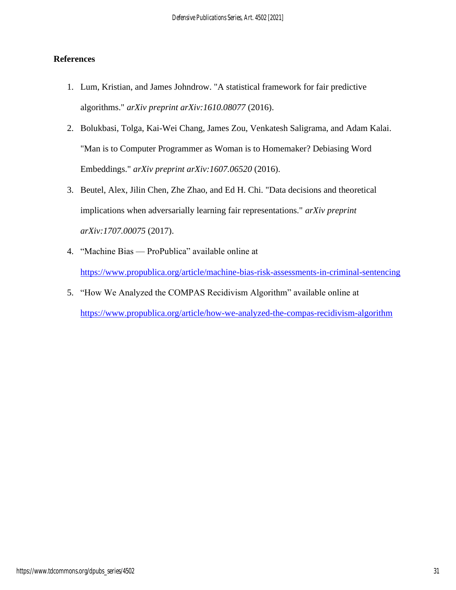#### **References**

- 1. Lum, Kristian, and James Johndrow. "A statistical framework for fair predictive algorithms." *arXiv preprint arXiv:1610.08077* (2016).
- 2. Bolukbasi, Tolga, Kai-Wei Chang, James Zou, Venkatesh Saligrama, and Adam Kalai. "Man is to Computer Programmer as Woman is to Homemaker? Debiasing Word Embeddings." *arXiv preprint arXiv:1607.06520* (2016).
- 3. Beutel, Alex, Jilin Chen, Zhe Zhao, and Ed H. Chi. "Data decisions and theoretical implications when adversarially learning fair representations." *arXiv preprint arXiv:1707.00075* (2017).
- 4. "Machine Bias ProPublica" available online at

<https://www.propublica.org/article/machine-bias-risk-assessments-in-criminal-sentencing>

5. "How We Analyzed the COMPAS Recidivism Algorithm" available online at <https://www.propublica.org/article/how-we-analyzed-the-compas-recidivism-algorithm>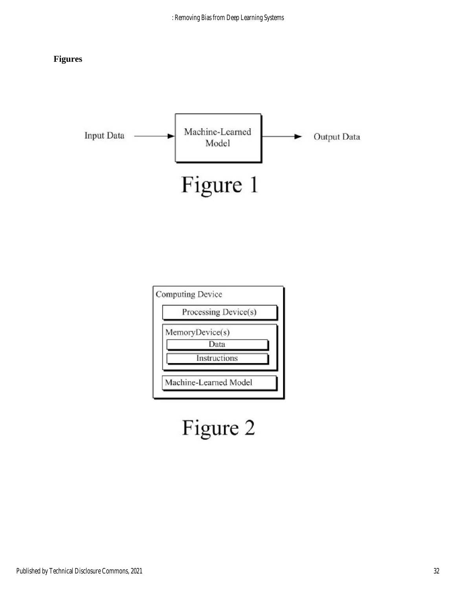### **Figures**





# Figure 2